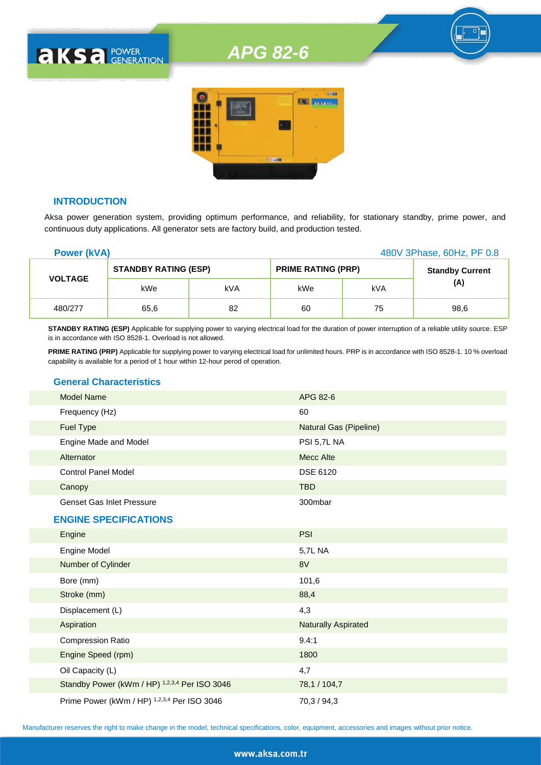## *APG 82-6*



#### **INTRODUCTION**

**AKSA POWER** 

Aksa power generation system, providing optimum performance, and reliability, for stationary standby, prime power, and continuous duty applications. All generator sets are factory build, and production tested.

| <b>Power (kVA)</b> |                             |     |                           | 480V 3Phase, 60Hz, PF 0.8 |                        |
|--------------------|-----------------------------|-----|---------------------------|---------------------------|------------------------|
| <b>VOLTAGE</b>     | <b>STANDBY RATING (ESP)</b> |     | <b>PRIME RATING (PRP)</b> |                           | <b>Standby Current</b> |
|                    | kWe                         | kVA | kWe                       | kVA                       | (A)                    |
| 480/277            | 65,6                        | 82  | 60                        | 75                        | 98,6                   |

**STANDBY RATING (ESP)** Applicable for supplying power to varying electrical load for the duration of power interruption of a reliable utility source. ESP is in accordance with ISO 8528-1. Overload is not allowed.

**PRIME RATING (PRP)** Applicable for supplying power to varying electrical load for unlimited hours. PRP is in accordance with ISO 8528-1. 10 % overload capability is available for a period of 1 hour within 12-hour perod of operation.

#### **General Characteristics**

| <b>Model Name</b>                | APG 82-6                      |
|----------------------------------|-------------------------------|
| Frequency (Hz)                   | 60                            |
| <b>Fuel Type</b>                 | <b>Natural Gas (Pipeline)</b> |
| Engine Made and Model            | PSI 5,7L NA                   |
| Alternator                       | Mecc Alte                     |
| <b>Control Panel Model</b>       | DSE 6120                      |
| Canopy                           | <b>TBD</b>                    |
| <b>Genset Gas Inlet Pressure</b> | 300mbar                       |
| <b>ENGINE SPECIFICATIONS</b>     |                               |
| Engine                           | <b>PSI</b>                    |
| Engine Model                     | 5,7L NA                       |
| Number of Cylinder               | 8V                            |
| Bore (mm)                        | 101,6                         |
| Stroke (mm)                      | 88,4                          |
| Displacement (L)                 | 4,3                           |
| Aspiration                       | <b>Naturally Aspirated</b>    |
| <b>Compression Ratio</b>         | 9.4:1                         |

Engine Speed (rpm) 1800 Oil Capacity (L) 4,7

Standby Power (kWm / HP) <sup>1,2,3,4</sup> Per ISO 3046 78,1 / 104,7 Prime Power (kWm / HP) <sup>1,2,3,4</sup> Per ISO 3046 70,3 / 94,3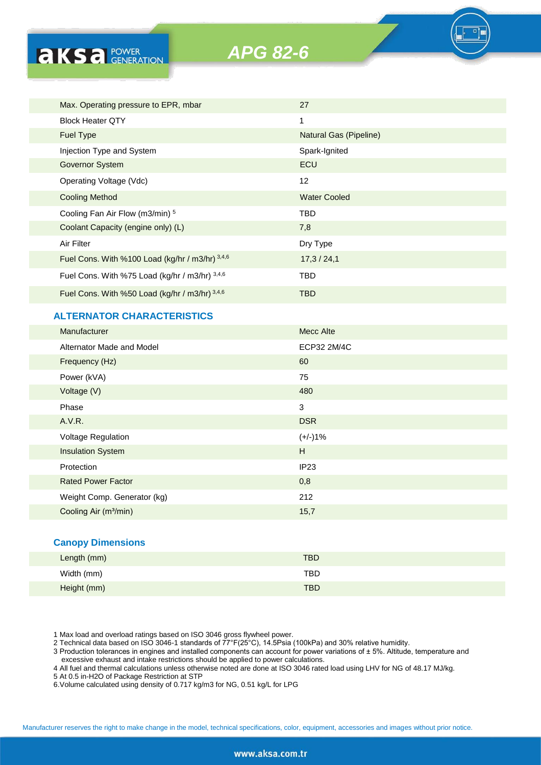

| Max. Operating pressure to EPR, mbar            | 27                     |
|-------------------------------------------------|------------------------|
| <b>Block Heater QTY</b>                         | 1                      |
| <b>Fuel Type</b>                                | Natural Gas (Pipeline) |
| Injection Type and System                       | Spark-Ignited          |
| Governor System                                 | ECU                    |
| Operating Voltage (Vdc)                         | $12 \overline{ }$      |
| <b>Cooling Method</b>                           | <b>Water Cooled</b>    |
| Cooling Fan Air Flow (m3/min) 5                 | <b>TBD</b>             |
| Coolant Capacity (engine only) (L)              | 7,8                    |
| Air Filter                                      | Dry Type               |
| Fuel Cons. With %100 Load (kg/hr / m3/hr) 3,4,6 | 17,3/24,1              |
| Fuel Cons. With %75 Load (kg/hr / m3/hr) 3,4,6  | TBD                    |
| Fuel Cons. With %50 Load (kg/hr / m3/hr) 3,4,6  | <b>TBD</b>             |

#### **ALTERNATOR CHARACTERISTICS**

**AKS** *B CENERATION* 

| Manufacturer                      | <b>Mecc Alte</b> |
|-----------------------------------|------------------|
| Alternator Made and Model         | ECP32 2M/4C      |
| Frequency (Hz)                    | 60               |
| Power (kVA)                       | 75               |
| Voltage (V)                       | 480              |
| Phase                             | $\mathbf{3}$     |
| A.V.R.                            | <b>DSR</b>       |
| Voltage Regulation                | $(+/-)1%$        |
| <b>Insulation System</b>          | H                |
| Protection                        | IP <sub>23</sub> |
| <b>Rated Power Factor</b>         | 0,8              |
| Weight Comp. Generator (kg)       | 212              |
| Cooling Air (m <sup>3</sup> /min) | 15,7             |

#### **Canopy Dimensions**

| Length (mm) | <b>TBD</b> |
|-------------|------------|
| Width (mm)  | TBD        |
| Height (mm) | <b>TBD</b> |

1 Max load and overload ratings based on ISO 3046 gross flywheel power.

2 Technical data based on ISO 3046-1 standards of 77°F(25°C), 14.5Psia (100kPa) and 30% relative humidity.

3 Production tolerances in engines and installed components can account for power variations of ± 5%. Altitude, temperature and excessive exhaust and intake restrictions should be applied to power calculations.

4 All fuel and thermal calculations unless otherwise noted are done at ISO 3046 rated load using LHV for NG of 48.17 MJ/kg.

5 At 0.5 in-H2O of Package Restriction at STP

6.Volume calculated using density of 0.717 kg/m3 for NG, 0.51 kg/L for LPG

Manufacturer reserves the right to make change in the model, technical specifications, color, equipment, accessories and images without prior notice.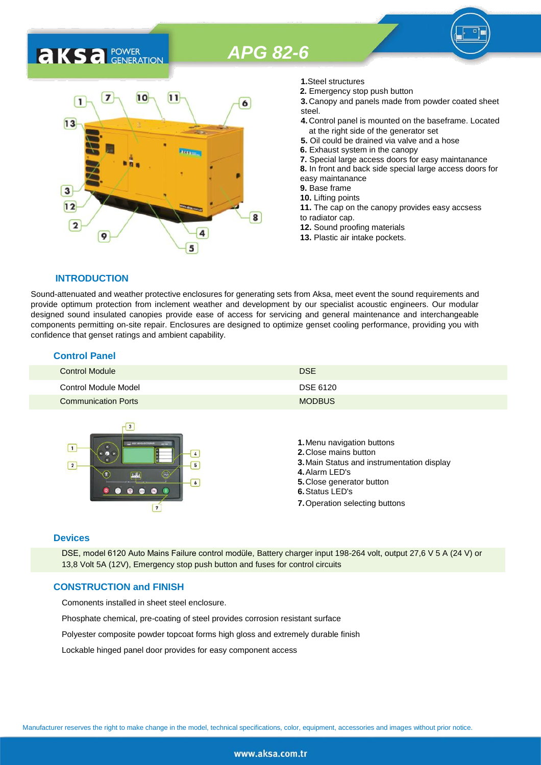# *APG 82-6*

### 7  $10$  $11$ 1 6  $13$ 3  $12$ 8  $\overline{2}$ 9 5

**1.**Steel structures

- **2.** Emergency stop push button
- **3.** Canopy and panels made from powder coated sheet steel.
- **4.** Control panel is mounted on the baseframe. Located at the right side of the generator set
- **5.** Oil could be drained via valve and a hose
- **6.** Exhaust system in the canopy
- **7.** Special large access doors for easy maintanance
- **8.** In front and back side special large access doors for
- easy maintanance
- **9.** Base frame
- **10.** Lifting points
- **11.** The cap on the canopy provides easy accsess to radiator cap.
- **12.** Sound proofing materials
- **13.** Plastic air intake pockets.

#### **INTRODUCTION**

**AKS** *C C <b>C GENERATION* 

Sound-attenuated and weather protective enclosures for generating sets from Aksa, meet event the sound requirements and provide optimum protection from inclement weather and development by our specialist acoustic engineers. Our modular designed sound insulated canopies provide ease of access for servicing and general maintenance and interchangeable components permitting on-site repair. Enclosures are designed to optimize genset cooling performance, providing you with confidence that genset ratings and ambient capability.

#### **Control Panel**

| <b>Control Module</b>      | <b>DSE</b>    |
|----------------------------|---------------|
| Control Module Model       | DSE 6120      |
| <b>Communication Ports</b> | <b>MODBUS</b> |



#### **Devices**

DSE, model 6120 Auto Mains Failure control modüle, Battery charger input 198-264 volt, output 27,6 V 5 A (24 V) or 13,8 Volt 5A (12V), Emergency stop push button and fuses for control circuits

#### **CONSTRUCTION and FINISH**

Comonents installed in sheet steel enclosure.

Phosphate chemical, pre-coating of steel provides corrosion resistant surface

Polyester composite powder topcoat forms high gloss and extremely durable finish

Lockable hinged panel door provides for easy component access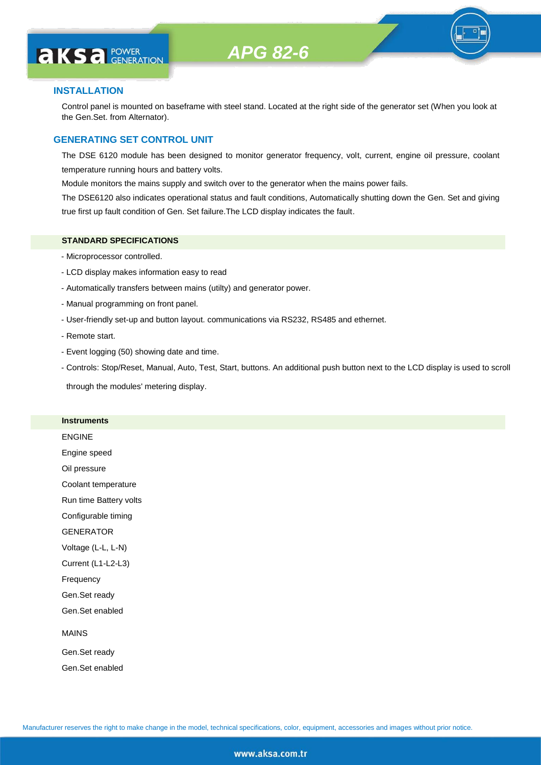#### **INSTALLATION**

Control panel is mounted on baseframe with steel stand. Located at the right side of the generator set (When you look at the Gen.Set. from Alternator).

#### **GENERATING SET CONTROL UNIT**

The DSE 6120 module has been designed to monitor generator frequency, volt, current, engine oil pressure, coolant temperature running hours and battery volts.

Module monitors the mains supply and switch over to the generator when the mains power fails.

The DSE6120 also indicates operational status and fault conditions, Automatically shutting down the Gen. Set and giving true first up fault condition of Gen. Set failure.The LCD display indicates the fault.

#### **STANDARD SPECIFICATIONS**

- Microprocessor controlled.
- LCD display makes information easy to read
- Automatically transfers between mains (utilty) and generator power.
- Manual programming on front panel.
- User-friendly set-up and button layout. communications via RS232, RS485 and ethernet.
- Remote start.
- Event logging (50) showing date and time.
- Controls: Stop/Reset, Manual, Auto, Test, Start, buttons. An additional push button next to the LCD display is used to scroll

through the modules' metering display.

#### **Instruments**

ENGINE Engine speed Oil pressure Coolant temperature Run time Battery volts Configurable timing **GENERATOR** Voltage (L-L, L-N) Current (L1-L2-L3) Frequency Gen.Set ready Gen.Set enabled MAINS Gen.Set ready

Gen.Set enabled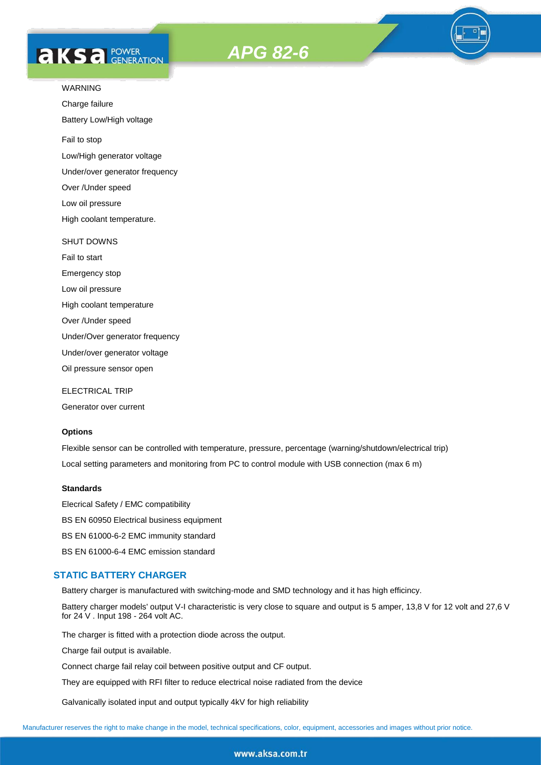# **AKS** *C C <b>C GENERATION*





#### WARNING

Charge failure

Battery Low/High voltage

Fail to stop

Low/High generator voltage

Under/over generator frequency

Over /Under speed

Low oil pressure

High coolant temperature.

#### SHUT DOWNS

Fail to start Emergency stop Low oil pressure High coolant temperature Over /Under speed Under/Over generator frequency Under/over generator voltage

Oil pressure sensor open

ELECTRICAL TRIP

Generator over current

#### **Options**

Flexible sensor can be controlled with temperature, pressure, percentage (warning/shutdown/electrical trip) Local setting parameters and monitoring from PC to control module with USB connection (max 6 m)

#### **Standards**

Elecrical Safety / EMC compatibility BS EN 60950 Electrical business equipment BS EN 61000-6-2 EMC immunity standard BS EN 61000-6-4 EMC emission standard

#### **STATIC BATTERY CHARGER**

Battery charger is manufactured with switching-mode and SMD technology and it has high efficincy.

Battery charger models' output V-I characteristic is very close to square and output is 5 amper, 13,8 V for 12 volt and 27,6 V for 24 V . Input 198 - 264 volt AC.

The charger is fitted with a protection diode across the output.

Charge fail output is available.

Connect charge fail relay coil between positive output and CF output.

They are equipped with RFI filter to reduce electrical noise radiated from the device

Galvanically isolated input and output typically 4kV for high reliability